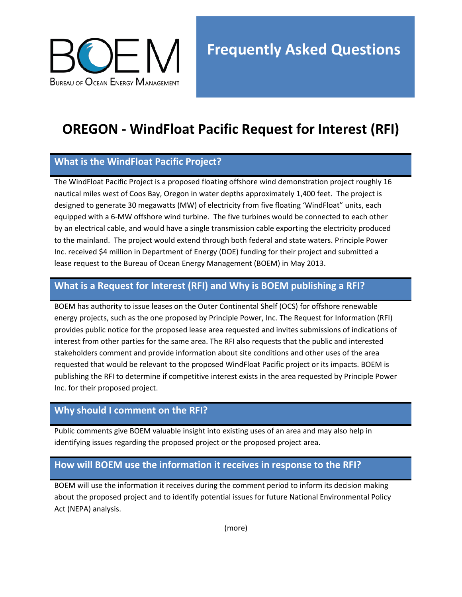

# **OREGON - WindFloat Pacific Request for Interest (RFI)**

## **What is the WindFloat Pacific Project?**

The WindFloat Pacific Project is a proposed floating offshore wind demonstration project roughly 16 nautical miles west of Coos Bay, Oregon in water depths approximately 1,400 feet. The project is designed to generate 30 megawatts (MW) of electricity from five floating 'WindFloat" units, each equipped with a 6-MW offshore wind turbine. The five turbines would be connected to each other by an electrical cable, and would have a single transmission cable exporting the electricity produced to the mainland. The project would extend through both federal and state waters. Principle Power Inc. received \$4 million in Department of Energy (DOE) funding for their project and submitted a lease request to the Bureau of Ocean Energy Management (BOEM) in May 2013.

### **What is a Request for Interest (RFI) and Why is BOEM publishing a RFI?**

BOEM has authority to issue leases on the Outer Continental Shelf (OCS) for offshore renewable energy projects, such as the one proposed by Principle Power, Inc. The Request for Information (RFI) provides public notice for the proposed lease area requested and invites submissions of indications of interest from other parties for the same area. The RFI also requests that the public and interested stakeholders comment and provide information about site conditions and other uses of the area requested that would be relevant to the proposed WindFloat Pacific project or its impacts. BOEM is publishing the RFI to determine if competitive interest exists in the area requested by Principle Power Inc. for their proposed project.

#### **Why should I comment on the RFI?**

Public comments give BOEM valuable insight into existing uses of an area and may also help in identifying issues regarding the proposed project or the proposed project area.

#### **How will BOEM use the information it receives in response to the RFI?**

BOEM will use the information it receives during the comment period to inform its decision making about the proposed project and to identify potential issues for future National Environmental Policy Act (NEPA) analysis.